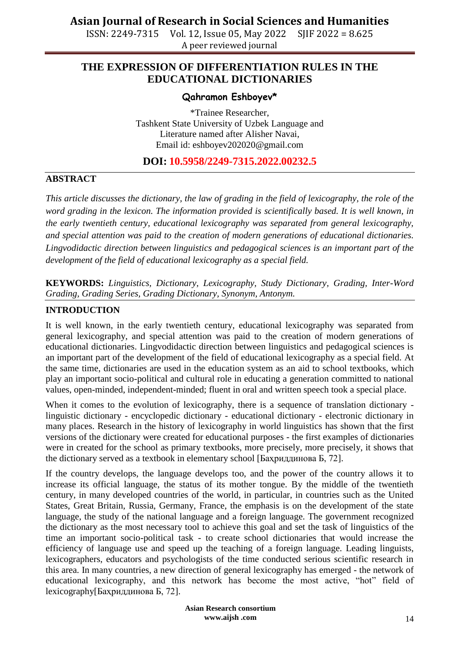ISSN: 2249-7315 Vol. 12, Issue 05, May 2022 SJIF 2022 = 8.625 A peer reviewed journal

## **THE EXPRESSION OF DIFFERENTIATION RULES IN THE EDUCATIONAL DICTIONARIES**

#### **Qahramon Eshboyev\***

\*Trainee Researcher, Tashkent State University of Uzbek Language and Literature named after Alisher Navai, Email id: eshboyev202020@gmail.com

#### **DOI: 10.5958/2249-7315.2022.00232.5**

#### **ABSTRACT**

*This article discusses the dictionary, the law of grading in the field of lexicography, the role of the word grading in the lexicon. The information provided is scientifically based. It is well known, in the early twentieth century, educational lexicography was separated from general lexicography, and special attention was paid to the creation of modern generations of educational dictionaries. Lingvodidactic direction between linguistics and pedagogical sciences is an important part of the development of the field of educational lexicography as a special field.*

**KEYWORDS:** *Linguistics, Dictionary, Lexicography, Study Dictionary, Grading, Inter-Word Grading, Grading Series, Grading Dictionary, Synonym, Antonym.*

#### **INTRODUCTION**

It is well known, in the early twentieth century, educational lexicography was separated from general lexicography, and special attention was paid to the creation of modern generations of educational dictionaries. Lingvodidactic direction between linguistics and pedagogical sciences is an important part of the development of the field of educational lexicography as a special field. At the same time, dictionaries are used in the education system as an aid to school textbooks, which play an important socio-political and cultural role in educating a generation committed to national values, open-minded, independent-minded; fluent in oral and written speech took a special place.

When it comes to the evolution of lexicography, there is a sequence of translation dictionary linguistic dictionary - encyclopedic dictionary - educational dictionary - electronic dictionary in many places. Research in the history of lexicography in world linguistics has shown that the first versions of the dictionary were created for educational purposes - the first examples of dictionaries were in created for the school as primary textbooks, more precisely, more precisely, it shows that the dictionary served as a textbook in elementary school [Баҳриддинова Б, 72].

If the country develops, the language develops too, and the power of the country allows it to increase its official language, the status of its mother tongue. By the middle of the twentieth century, in many developed countries of the world, in particular, in countries such as the United States, Great Britain, Russia, Germany, France, the emphasis is on the development of the state language, the study of the national language and a foreign language. The government recognized the dictionary as the most necessary tool to achieve this goal and set the task of linguistics of the time an important socio-political task - to create school dictionaries that would increase the efficiency of language use and speed up the teaching of a foreign language. Leading linguists, lexicographers, educators and psychologists of the time conducted serious scientific research in this area. In many countries, a new direction of general lexicography has emerged - the network of educational lexicography, and this network has become the most active, "hot" field of lexicography[Баҳриддинова Б, 72].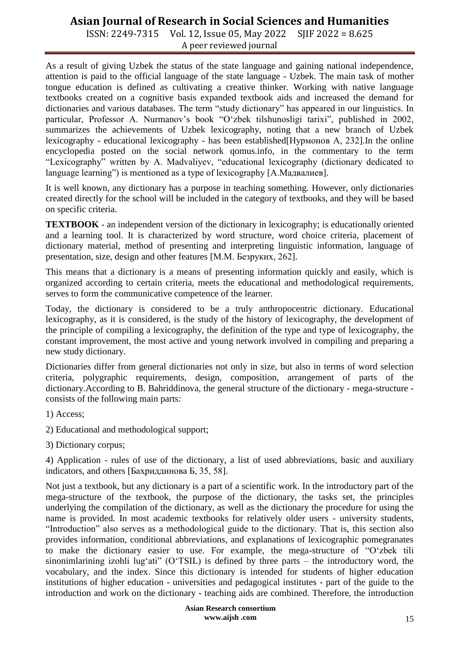ISSN: 2249-7315 Vol. 12, Issue 05, May 2022 SJIF 2022 = 8.625 A peer reviewed journal

As a result of giving Uzbek the status of the state language and gaining national independence, attention is paid to the official language of the state language - Uzbek. The main task of mother tongue education is defined as cultivating a creative thinker. Working with native language textbooks created on a cognitive basis expanded textbook aids and increased the demand for dictionaries and various databases. The term "study dictionary" has appeared in our linguistics. In particular, Professor A. Nurmanov's book "O'zbek tilshunosligi tarixi", published in 2002, summarizes the achievements of Uzbek lexicography, noting that a new branch of Uzbek lexicography - educational lexicography - has been established[Нурмонов А, 232].In the online encyclopedia posted on the social network qomus.info, in the commentary to the term "Lexicography" written by A. Madvaliyev, "educational lexicography (dictionary dedicated to language learning") is mentioned as a type of lexicography [А.Мадвалиев].

It is well known, any dictionary has a purpose in teaching something. However, only dictionaries created directly for the school will be included in the category of textbooks, and they will be based on specific criteria.

**TEXTBOOK** - an independent version of the dictionary in lexicography; is educationally oriented and a learning tool. It is characterized by word structure, word choice criteria, placement of dictionary material, method of presenting and interpreting linguistic information, language of presentation, size, design and other features [М.М. Безруких, 262].

This means that a dictionary is a means of presenting information quickly and easily, which is organized according to certain criteria, meets the educational and methodological requirements, serves to form the communicative competence of the learner.

Today, the dictionary is considered to be a truly anthropocentric dictionary. Educational lexicography, as it is considered, is the study of the history of lexicography, the development of the principle of compiling a lexicography, the definition of the type and type of lexicography, the constant improvement, the most active and young network involved in compiling and preparing a new study dictionary.

Dictionaries differ from general dictionaries not only in size, but also in terms of word selection criteria, polygraphic requirements, design, composition, arrangement of parts of the dictionary. According to B. Bahriddinova, the general structure of the dictionary - mega-structure consists of the following main parts:

1) Access;

- 2) Educational and methodological support;
- 3) Dictionary corpus;

4) Application - rules of use of the dictionary, a list of used abbreviations, basic and auxiliary indicators, and others [Баҳриддинова Б, 35, 58].

Not just a textbook, but any dictionary is a part of a scientific work. In the introductory part of the mega-structure of the textbook, the purpose of the dictionary, the tasks set, the principles underlying the compilation of the dictionary, as well as the dictionary the procedure for using the name is provided. In most academic textbooks for relatively older users - university students, "Introduction" also serves as a methodological guide to the dictionary. That is, this section also provides information, conditional abbreviations, and explanations of lexicographic pomegranates to make the dictionary easier to use. For example, the mega-structure of "O"zbek tili sinonimlarining izohli lug'ati" (O'TSIL) is defined by three parts – the introductory word, the vocabulary, and the index. Since this dictionary is intended for students of higher education institutions of higher education - universities and pedagogical institutes - part of the guide to the introduction and work on the dictionary - teaching aids are combined. Therefore, the introduction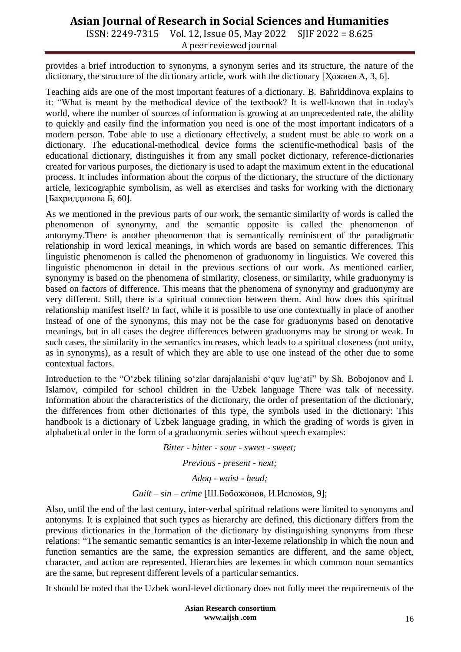ISSN: 2249-7315 Vol. 12, Issue 05, May 2022 SJIF 2022 = 8.625 A peer reviewed journal

provides a brief introduction to synonyms, a synonym series and its structure, the nature of the dictionary, the structure of the dictionary article, work with the dictionary [Ҳожиев А, 3, 6].

Teaching aids are one of the most important features of a dictionary. B. Bahriddinova explains to it: "What is meant by the methodical device of the textbook? It is well-known that in today's world, where the number of sources of information is growing at an unprecedented rate, the ability to quickly and easily find the information you need is one of the most important indicators of a modern person. Tobe able to use a dictionary effectively, a student must be able to work on a dictionary. The educational-methodical device forms the scientific-methodical basis of the educational dictionary, distinguishes it from any small pocket dictionary, reference-dictionaries created for various purposes, the dictionary is used to adapt the maximum extent in the educational process. It includes information about the corpus of the dictionary, the structure of the dictionary article, lexicographic symbolism, as well as exercises and tasks for working with the dictionary [Баҳриддинова Б, 60].

As we mentioned in the previous parts of our work, the semantic similarity of words is called the phenomenon of synonymy, and the semantic opposite is called the phenomenon of antonymy.There is another phenomenon that is semantically reminiscent of the paradigmatic relationship in word lexical meanings, in which words are based on semantic differences. This linguistic phenomenon is called the phenomenon of graduonomy in linguistics. We covered this linguistic phenomenon in detail in the previous sections of our work. As mentioned earlier, synonymy is based on the phenomena of similarity, closeness, or similarity, while graduonymy is based on factors of difference. This means that the phenomena of synonymy and graduonymy are very different. Still, there is a spiritual connection between them. And how does this spiritual relationship manifest itself? In fact, while it is possible to use one contextually in place of another instead of one of the synonyms, this may not be the case for graduonyms based on denotative meanings, but in all cases the degree differences between graduonyms may be strong or weak. In such cases, the similarity in the semantics increases, which leads to a spiritual closeness (not unity, as in synonyms), as a result of which they are able to use one instead of the other due to some contextual factors.

Introduction to the "O'zbek tilining so'zlar darajalanishi o'quv lug'ati" by Sh. Bobojonov and I. Islamov, compiled for school children in the Uzbek language There was talk of necessity. Information about the characteristics of the dictionary, the order of presentation of the dictionary, the differences from other dictionaries of this type, the symbols used in the dictionary: This handbook is a dictionary of Uzbek language grading, in which the grading of words is given in alphabetical order in the form of a graduonymic series without speech examples:

> *Bitter - bitter - sour - sweet - sweet; Previous - present - next; Adoq - waist - head; Guilt – sin – crime* [Ш.Бобожонов, И.Исломов, 9];

Also, until the end of the last century, inter-verbal spiritual relations were limited to synonyms and antonyms. It is explained that such types as hierarchy are defined, this dictionary differs from the previous dictionaries in the formation of the dictionary by distinguishing synonyms from these relations: "The semantic semantic semantics is an inter-lexeme relationship in which the noun and function semantics are the same, the expression semantics are different, and the same object, character, and action are represented. Hierarchies are lexemes in which common noun semantics are the same, but represent different levels of a particular semantics.

It should be noted that the Uzbek word-level dictionary does not fully meet the requirements of the

**Asian Research consortium www.aijsh .com**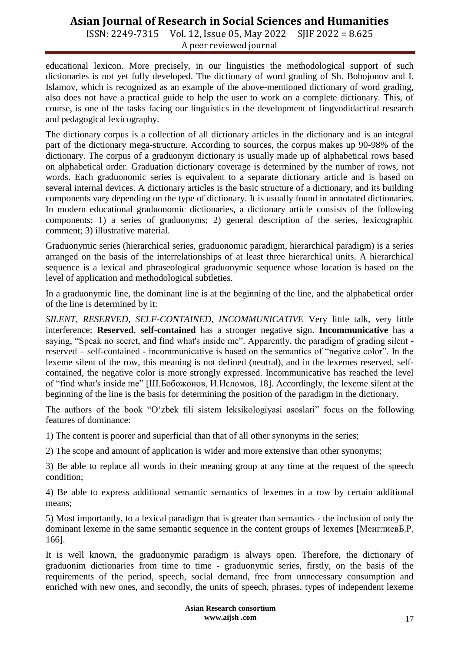ISSN: 2249-7315 Vol. 12, Issue 05, May 2022 SJIF 2022 = 8.625 A peer reviewed journal

educational lexicon. More precisely, in our linguistics the methodological support of such dictionaries is not yet fully developed. The dictionary of word grading of Sh. Bobojonov and I. Islamov, which is recognized as an example of the above-mentioned dictionary of word grading, also does not have a practical guide to help the user to work on a complete dictionary. This, of course, is one of the tasks facing our linguistics in the development of lingvodidactical research and pedagogical lexicography.

The dictionary corpus is a collection of all dictionary articles in the dictionary and is an integral part of the dictionary mega-structure. According to sources, the corpus makes up 90-98% of the dictionary. The corpus of a graduonym dictionary is usually made up of alphabetical rows based on alphabetical order. Graduation dictionary coverage is determined by the number of rows, not words. Each graduonomic series is equivalent to a separate dictionary article and is based on several internal devices. A dictionary articles is the basic structure of a dictionary, and its building components vary depending on the type of dictionary. It is usually found in annotated dictionaries. In modern educational graduonomic dictionaries, a dictionary article consists of the following components: 1) a series of graduonyms; 2) general description of the series, lexicographic comment; 3) illustrative material.

Graduonymic series (hierarchical series, graduonomic paradigm, hierarchical paradigm) is a series arranged on the basis of the interrelationships of at least three hierarchical units. A hierarchical sequence is a lexical and phraseological graduonymic sequence whose location is based on the level of application and methodological subtleties.

In a graduonymic line, the dominant line is at the beginning of the line, and the alphabetical order of the line is determined by it:

*SILENT, RESERVED, SELF-CONTAINED, INCOMMUNICATIVE* Very little talk, very little interference: **Reserved**, **self-contained** has a stronger negative sign. **Incommunicative** has a saying, "Speak no secret, and find what's inside me". Apparently, the paradigm of grading silent reserved – self-contained - incommunicative is based on the semantics of "negative color". In the lexeme silent of the row, this meaning is not defined (neutral), and in the lexemes reserved, selfcontained, the negative color is more strongly expressed. Incommunicative has reached the level of "find what's inside me" [Ш.Бобожонов, И.Исломов, 18]. Accordingly, the lexeme silent at the beginning of the line is the basis for determining the position of the paradigm in the dictionary.

The authors of the book "O"zbek tili sistem leksikologiyasi asoslari" focus on the following features of dominance:

1) The content is poorer and superficial than that of all other synonyms in the series;

2) The scope and amount of application is wider and more extensive than other synonyms;

3) Be able to replace all words in their meaning group at any time at the request of the speech condition;

4) Be able to express additional semantic semantics of lexemes in a row by certain additional means;

5) Most importantly, to a lexical paradigm that is greater than semantics - the inclusion of only the dominant lexeme in the same semantic sequence in the content groups of lexemes [МенглиевБ.Р, 166].

It is well known, the graduonymic paradigm is always open. Therefore, the dictionary of graduonim dictionaries from time to time - graduonymic series, firstly, on the basis of the requirements of the period, speech, social demand, free from unnecessary consumption and enriched with new ones, and secondly, the units of speech, phrases, types of independent lexeme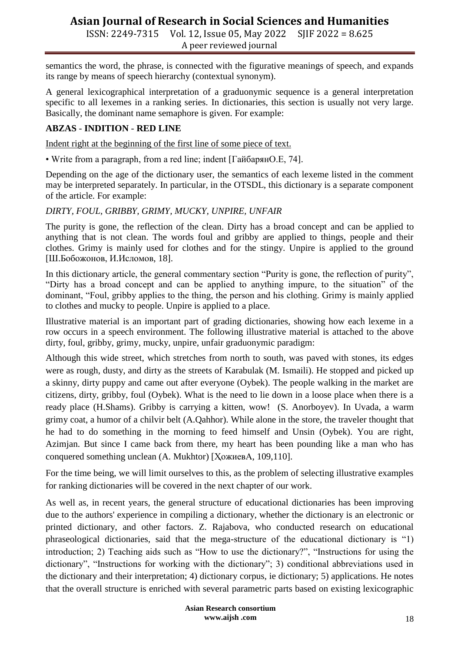ISSN: 2249-7315 Vol. 12, Issue 05, May 2022 SJIF 2022 = 8.625 A peer reviewed journal

semantics the word, the phrase, is connected with the figurative meanings of speech, and expands its range by means of speech hierarchy (contextual synonym).

A general lexicographical interpretation of a graduonymic sequence is a general interpretation specific to all lexemes in a ranking series. In dictionaries, this section is usually not very large. Basically, the dominant name semaphore is given. For example:

### **ABZAS** - **INDITION** - **RED LINE**

Indent right at the beginning of the first line of some piece of text.

• Write from a paragraph, from a red line; indent [ГайбарянО.Е, 74].

Depending on the age of the dictionary user, the semantics of each lexeme listed in the comment may be interpreted separately. In particular, in the OTSDL, this dictionary is a separate component of the article. For example:

*DIRTY, FOUL, GRIBBY, GRIMY, MUCKY, UNPIRE, UNFAIR*

The purity is gone, the reflection of the clean. Dirty has a broad concept and can be applied to anything that is not clean. The words foul and gribby are applied to things, people and their clothes. Grimy is mainly used for clothes and for the stingy. Unpire is applied to the ground [Ш.Бобожонов, И.Исломов, 18].

In this dictionary article, the general commentary section "Purity is gone, the reflection of purity", "Dirty has a broad concept and can be applied to anything impure, to the situation" of the dominant, "Foul, gribby applies to the thing, the person and his clothing. Grimy is mainly applied to clothes and mucky to people. Unpire is applied to a place.

Illustrative material is an important part of grading dictionaries, showing how each lexeme in a row occurs in a speech environment. The following illustrative material is attached to the above dirty, foul, gribby, grimy, mucky, unpire, unfair graduonymic paradigm:

Although this wide street, which stretches from north to south, was paved with stones, its edges were as rough, dusty, and dirty as the streets of Karabulak (M. Ismaili). He stopped and picked up a skinny, dirty puppy and came out after everyone (Oybek). The people walking in the market are citizens, dirty, gribby, foul (Oybek). What is the need to lie down in a loose place when there is a ready place (H.Shams). Gribby is carrying a kitten, wow! (S. Anorboyev). In Uvada, a warm grimy coat, a humor of a chilvir belt (A.Qahhor). While alone in the store, the traveler thought that he had to do something in the morning to feed himself and Unsin (Oybek). You are right, Azimjan. But since I came back from there, my heart has been pounding like a man who has conquered something unclean (A. Mukhtor) [ҲожиевА, 109,110].

For the time being, we will limit ourselves to this, as the problem of selecting illustrative examples for ranking dictionaries will be covered in the next chapter of our work.

As well as, in recent years, the general structure of educational dictionaries has been improving due to the authors' experience in compiling a dictionary, whether the dictionary is an electronic or printed dictionary, and other factors. Z. Rajabova, who conducted research on educational phraseological dictionaries, said that the mega-structure of the educational dictionary is "1) introduction; 2) Teaching aids such as "How to use the dictionary?", "Instructions for using the dictionary", "Instructions for working with the dictionary"; 3) conditional abbreviations used in the dictionary and their interpretation; 4) dictionary corpus, ie dictionary; 5) applications. He notes that the overall structure is enriched with several parametric parts based on existing lexicographic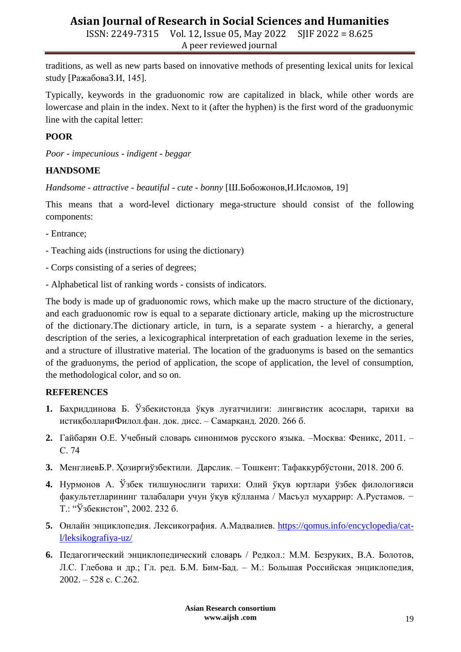ISSN: 2249-7315 Vol. 12, Issue 05, May 2022 SJIF 2022 = 8.625 A peer reviewed journal

traditions, as well as new parts based on innovative methods of presenting lexical units for lexical study [РажабоваЗ.И, 145].

Typically, keywords in the graduonomic row are capitalized in black, while other words are lowercase and plain in the index. Next to it (after the hyphen) is the first word of the graduonymic line with the capital letter:

## **POOR**

*Poor - impecunious - indigent - beggar*

### **HANDSOME**

*Handsome - attractive - beautiful - cute - bonny* [Ш.Бобожонов,И.Исломов, 19]

This means that a word-level dictionary mega-structure should consist of the following components:

- Entrance;
- Teaching aids (instructions for using the dictionary)
- Corps consisting of a series of degrees;
- Alphabetical list of ranking words consists of indicators.

The body is made up of graduonomic rows, which make up the macro structure of the dictionary, and each graduonomic row is equal to a separate dictionary article, making up the microstructure of the dictionary.The dictionary article, in turn, is a separate system - a hierarchy, a general description of the series, a lexicographical interpretation of each graduation lexeme in the series, and a structure of illustrative material. The location of the graduonyms is based on the semantics of the graduonyms, the period of application, the scope of application, the level of consumption, the methodological color, and so on.

#### **REFERENCES**

- **1.** Баҳриддинова Б. Ўзбекистонда ўқув луғатчилиги: лингвистик асослари, тарихи ва истиқболлариФилол.фан. док. дисс. – Самарқанд. 2020. 266 б.
- **2.** Гайбарян О.Е. Учебный словарь синонимов русского языка. –Москва: [Феникс,](https://www.labirint.ru/pubhouse/539/) 2011. С. 74
- **3.** МенглиевБ.Р. Ҳозиргиўзбектили. Дарслик. Тошкент: Тафаккурбўстони, 2018. 200 б.
- **4.** Нурмонов А. Ўзбек тилшунослиги тарихи: Олий ўқув юртлари ўзбек филологияси факультетларининг талабалари учун ўқув қўлланма / Масъул муҳаррир: А.Рустамов. − Т.: "Ўзбекистон", 2002. 232 б.
- **5.** Онлайн энциклопедия. Лексикография. А.Мадвалиев. [https://qomus.info/encyclopedia/cat](https://qomus.info/encyclopedia/cat-l/leksikografiya-uz/)[l/leksikografiya-uz/](https://qomus.info/encyclopedia/cat-l/leksikografiya-uz/)
- **6.** Педагогический энциклопедический словарь / Редкол.: М.М. Безруких, В.А. Болотов, Л.С. Глебова и др.; Гл. ред. Б.М. Бим-Бад. – М.: Большая Российская энциклопедия, 2002. – 528 с. С.262.